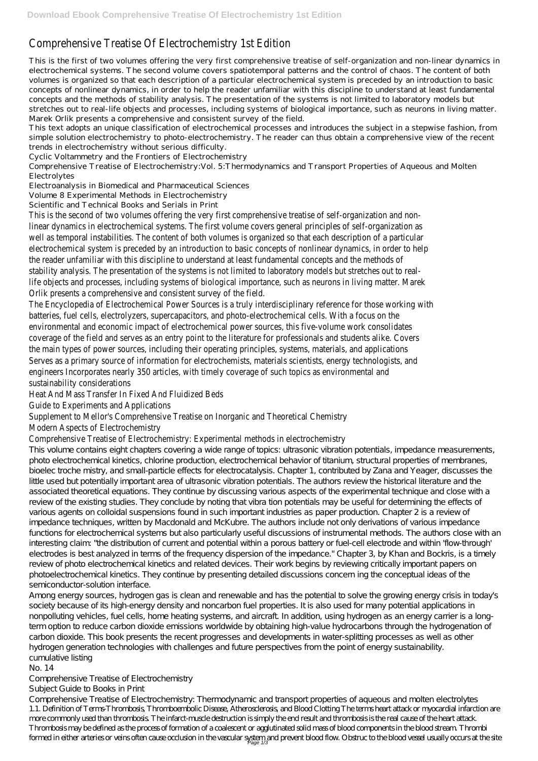# Comprehensive Treatise Of Electrochemistry 1st Edition

This is the first of two volumes offering the very first comprehensive treatise of self-organization and non-linear dynamics in electrochemical systems. The second volume covers spatiotemporal patterns and the control of chaos. The content of both volumes is organized so that each description of a particular electrochemical system is preceded by an introduction to basic concepts of nonlinear dynamics, in order to help the reader unfamiliar with this discipline to understand at least fundamental concepts and the methods of stability analysis. The presentation of the systems is not limited to laboratory models but stretches out to real-life objects and processes, including systems of biological importance, such as neurons in living matter. Marek Orlik presents a comprehensive and consistent survey of the field.

This text adopts an unique classification of electrochemical processes and introduces the subject in a stepwise fashion, from simple solution electrochemistry to photo-electrochemistry. The reader can thus obtain a comprehensive view of the recent trends in electrochemistry without serious difficulty.

Cyclic Voltammetry and the Frontiers of Electrochemistry

Comprehensive Treatise of Electrochemistry:Vol. 5:Thermodynamics and Transport Properties of Aqueous and Molten Electrolytes

Electroanalysis in Biomedical and Pharmaceutical Sciences

Volume 8 Experimental Methods in Electrochemistry

Scientific and Technical Books and Serials in Print

This volume contains eight chapters covering a wide range of topics: ultrasonic vibration potentials, impedance measurements, photo electrochemical kinetics, chlorine production, electrochemical behavior of titanium, structural properties of membranes, bioelec troche mistry, and small-particle effects for electrocatalysis. Chapter 1, contributed by Zana and Yeager, discusses the little used but potentially important area of ultrasonic vibration potentials. The authors review the historical literature and the associated theoretical equations. They continue by discussing various aspects of the experimental technique and close with a review of the existing studies. They conclude by noting that vibra tion potentials may be useful for determining the effects of various agents on colloidal suspensions found in such important industries as paper production. Chapter 2 is a review of impedance techniques, written by Macdonald and McKubre. The authors include not only derivations of various impedance functions for electrochemical systems but also particularly useful discussions of instrumental methods. The authors close with an interesting claim: "the distribution of current and potential within a porous battery or fuel-cell electrode and within 'flow-through' electrodes is best analyzed in terms of the frequency dispersion of the impedance." Chapter 3, by Khan and Bockris, is a timely review of photo electrochemical kinetics and related devices. Their work begins by reviewing critically important papers on photoelectrochemical kinetics. They continue by presenting detailed discussions concern ing the conceptual ideas of the semiconductor-solution interface. Among energy sources, hydrogen gas is clean and renewable and has the potential to solve the growing energy crisis in today's society because of its high-energy density and noncarbon fuel properties. It is also used for many potential applications in nonpolluting vehicles, fuel cells, home heating systems, and aircraft. In addition, using hydrogen as an energy carrier is a longterm option to reduce carbon dioxide emissions worldwide by obtaining high-value hydrocarbons through the hydrogenation of carbon dioxide. This book presents the recent progresses and developments in water-splitting processes as well as other hydrogen generation technologies with challenges and future perspectives from the point of energy sustainability. cumulative listing

This is the second of two volumes offering the very first comprehensive treatise of self-organization and nonlinear dynamics in electrochemical systems. The first volume covers general principles of self-organization as well as temporal instabilities. The content of both volumes is organized so that each description of a particula electrochemical system is preceded by an introduction to basic concepts of nonlinear dynamics, in order to help the reader unfamiliar with this discipline to understand at least fundamental concepts and the methods of stability analysis. The presentation of the systems is not limited to laboratory models but stretches out to rea life objects and processes, including systems of biological importance, such as neurons in living matter. Marek Orlik presents a comprehensive and consistent survey of the field.

The Encyclopedia of Electrochemical Power Sources is a truly interdisciplinary reference for those working with batteries, fuel cells, electrolyzers, supercapacitors, and photo-electrochemical cells. With a focus on the environmental and economic impact of electrochemical power sources, this five-volume work consolidates coverage of the field and serves as an entry point to the literature for professionals and students alike. Cover the main types of power sources, including their operating principles, systems, materials, and applications Serves as a primary source of information for electrochemists, materials scientists, energy technologists, and engineers Incorporates nearly 350 articles, with timely coverage of such topics as environmental and sustainability considerations

Comprehensive Treatise of Electrochemistry: Thermodynamic and transport properties of aqueous and molten electrolytes 1.1. Definition of Terms-Thrombosis, Thromboembolic Disease, Atherosclerosis, and Blood Clotting The terms heart attack or myocardial infarction are more commonly used than thrombosis. The infarct-muscle destruction is simply the end result and thrombosis is the real cause of the heart attack. Thrombosis may be defined as the process of formation of a coalescent or agglutinated solid mass of blood components in the blood stream. Thrombi formed in either arteries or veins often cause occlusion in the vascular system and prevent blood flow. Obstruc to the blood vessel usually occurs at the site

Heat And Mass Transfer In Fixed And Fluidized Beds

Guide to Experiments and Applications

Supplement to Mellor's Comprehensive Treatise on Inorganic and Theoretical Chemistry

Modern Aspects of Electrochemistry

## Comprehensive Treatise of Electrochemistry: Experimental methods in electrochemistry

No. 14

Comprehensive Treatise of Electrochemistry

Subject Guide to Books in Print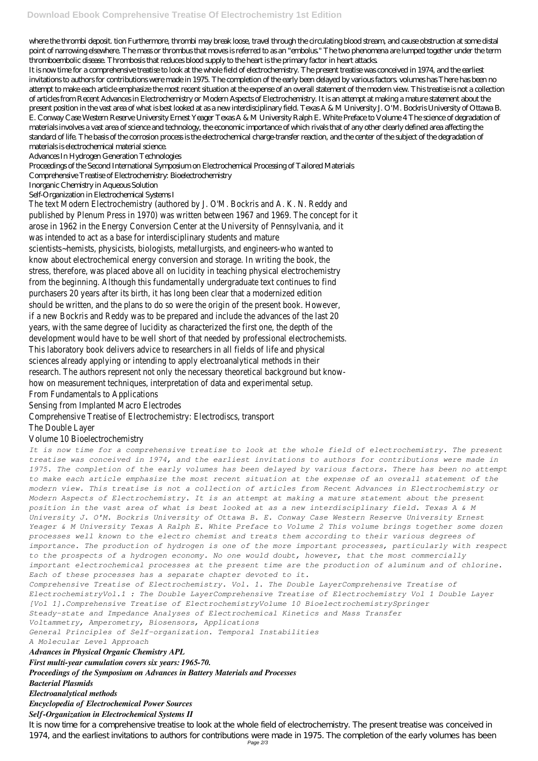where the thrombi deposit. tion Furthermore, thrombi may break loose, travel through the circulating blood stream, and cause obstruction at some distal point of narrowing elsewhere. The mass or thrombus that moves is referred to as an "embolus." The two phenomena are lumped together under the term thromboembolic disease. Thrombosis that reduces blood supply to the heart is the primary factor in heart attacks.

It is now time for a comprehensive treatise to look at the whole field of electrochemistry. The present treatise was conceived in 1974, and the earliest invitations to authors for contributions were made in 1975. The completion of the early been delayed by various factors. volumes has There has been no attempt to make each article emphasize the most recent situation at the expense of an overall statement of the modern view. This treatise is not a collection of articles from Recent Advances in Electrochemistry or Modern Aspects of Electrochemistry. It is an attempt at making a mature statement about the present position in the vast area of what is best looked at as a new interdisciplinary field. Texas A & M University J. O'M. Bockris University of Ottawa B. E. Conway Case Western Reserve University Ernest Yeager Texas A & M University Ralph E. White Preface to Volume 4 The science of degradation of materials involves a vast area of science and technology, the economic importance of which rivals that of any other clearly defined area affecting the standard of life. The basis of the corrosion process is the electrochemical charge-transfer reaction, and the center of the subject of the degradation of materials is electrochemical material science.

Advances In Hydrogen Generation Technologies

### Proceedings of the Second International Symposium on Electrochemical Processing of Tailored Materials

#### Comprehensive Treatise of Electrochemistry: Bioelectrochemistry

#### Inorganic Chemistry in Aqueous Solution

#### Self-Organization in Electrochemical Systems I

The text Modern Electrochemistry (authored by J. O'M. Bockris and A. K. N. Reddy and published by Plenum Press in 1970) was written between 1967 and 1969. The concept for it arose in 1962 in the Energy Conversion Center at the University of Pennsylvania, and it was intended to act as a base for interdisciplinary students and mature scientists~hemists, physicists, biologists, metallurgists, and engineers-who wanted to know about electrochemical energy conversion and storage. In writing the book, the stress, therefore, was placed above all on lucidity in teaching physical electrochemistry from the beginning. Although this fundamentally undergraduate text continues to find purchasers 20 years after its birth, it has long been clear that a modernized edition should be written, and the plans to do so were the origin of the present book. However, if a new Bockris and Reddy was to be prepared and include the advances of the last 20 years, with the same degree of lucidity as characterized the first one, the depth of the development would have to be well short of that needed by professional electrochemists. This laboratory book delivers advice to researchers in all fields of life and physical sciences already applying or intending to apply electroanalytical methods in their research. The authors represent not only the necessary theoretical background but knowhow on measurement techniques, interpretation of data and experimental setup. From Fundamentals to Applications

Sensing from Implanted Macro Electrodes

Comprehensive Treatise of Electrochemistry: Electrodiscs, transport

The Double Layer

## Volume 10 Bioelectrochemistry

*It is now time for a comprehensive treatise to look at the whole field of electrochemistry. The present treatise was conceived in 1974, and the earliest invitations to authors for contributions were made in 1975. The completion of the early volumes has been delayed by various factors. There has been no attempt to make each article emphasize the most recent situation at the expense of an overall statement of the modern view. This treatise is not a collection of articles from Recent Advances in Electrochemistry or Modern Aspects of Electrochemistry. It is an attempt at making a mature statement about the present position in the vast area of what is best looked at as a new interdisciplinary field. Texas A & M University J. O'M. Bockris University of Ottawa B. E. Conway Case Western Reserve University Ernest Yeager & M University Texas A Ralph E. White Preface to Volume 2 This volume brings together some dozen processes well known to the electro chemist and treats them according to their various degrees of importance. The production of hydrogen is one of the more important processes, particularly with respect to the prospects of a hydrogen economy. No one would doubt, however, that the most commercially important electrochemical processes at the present time are the production of aluminum and of chlorine. Each of these processes has a separate chapter devoted to it. Comprehensive Treatise of Electrochemistry. Vol. 1. The Double LayerComprehensive Treatise of ElectrochemistryVol.1 : The Double LayerComprehensive Treatise of Electrochemistry Vol 1 Double Layer [Vol 1].Comprehensive Treatise of ElectrochemistryVolume 10 BioelectrochemistrySpringer Steady-state and Impedance Analyses of Electrochemical Kinetics and Mass Transfer Voltammetry, Amperometry, Biosensors, Applications General Principles of Self-organization. Temporal Instabilities A Molecular Level Approach Advances in Physical Organic Chemistry APL First multi-year cumulation covers six years: 1965-70. Proceedings of the Symposium on Advances in Battery Materials and Processes Bacterial Plasmids Electroanalytical methods Encyclopedia of Electrochemical Power Sources Self-Organization in Electrochemical Systems II* It is now time for a comprehensive treatise to look at the whole field of electrochemistry. The present treatise was conceived in 1974, and the earliest invitations to authors for contributions were made in 1975. The completion of the early volumes has been Page 2/3